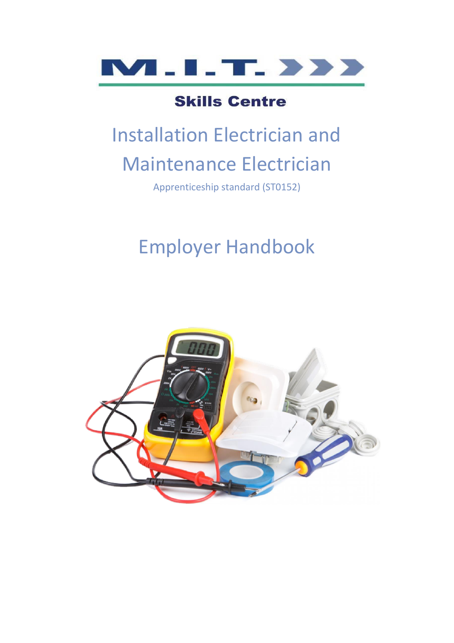

# Installation Electrician and Maintenance Electrician

Apprenticeship standard (ST0152)

# Employer Handbook

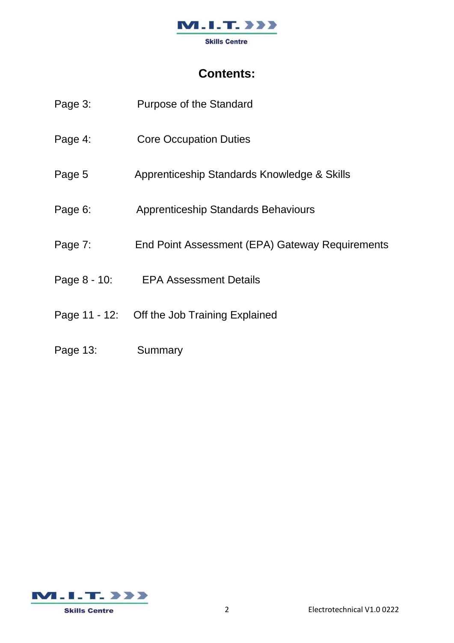

# **Contents:**

| Page 3:  | <b>Purpose of the Standard</b>                  |
|----------|-------------------------------------------------|
| Page 4:  | <b>Core Occupation Duties</b>                   |
| Page 5   | Apprenticeship Standards Knowledge & Skills     |
| Page 6:  | <b>Apprenticeship Standards Behaviours</b>      |
| Page 7:  | End Point Assessment (EPA) Gateway Requirements |
|          | Page 8 - 10: EPA Assessment Details             |
|          | Page 11 - 12: Off the Job Training Explained    |
| Page 13: | Summary                                         |

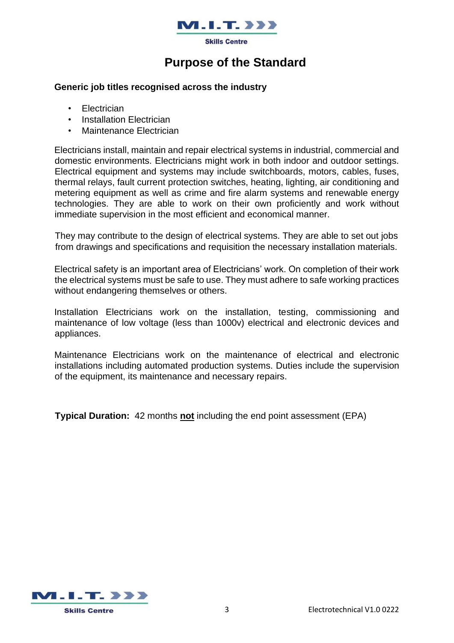

## **Purpose of the Standard**

### **Generic job titles recognised across the industry**

- Electrician
- Installation Electrician
- Maintenance Electrician

Electricians install, maintain and repair electrical systems in industrial, commercial and domestic environments. Electricians might work in both indoor and outdoor settings. Electrical equipment and systems may include switchboards, motors, cables, fuses, thermal relays, fault current protection switches, heating, lighting, air conditioning and metering equipment as well as crime and fire alarm systems and renewable energy technologies. They are able to work on their own proficiently and work without immediate supervision in the most efficient and economical manner.

They may contribute to the design of electrical systems. They are able to set out jobs from drawings and specifications and requisition the necessary installation materials.

Electrical safety is an important area of Electricians' work. On completion of their work the electrical systems must be safe to use. They must adhere to safe working practices without endangering themselves or others.

Installation Electricians work on the installation, testing, commissioning and maintenance of low voltage (less than 1000v) electrical and electronic devices and appliances.

Maintenance Electricians work on the maintenance of electrical and electronic installations including automated production systems. Duties include the supervision of the equipment, its maintenance and necessary repairs.

**Typical Duration:** 42 months **not** including the end point assessment (EPA)

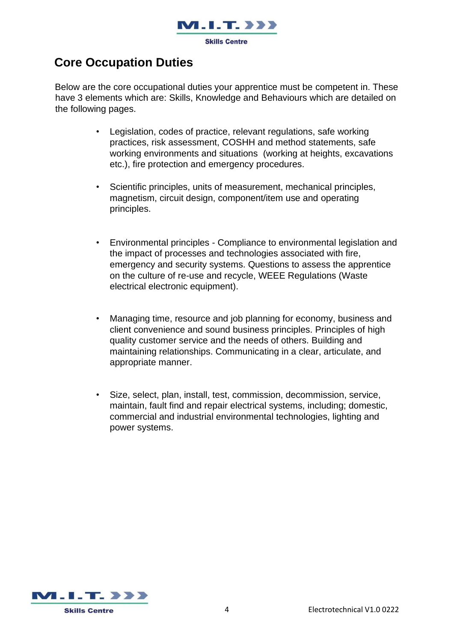

## **Core Occupation Duties**

Below are the core occupational duties your apprentice must be competent in. These have 3 elements which are: Skills, Knowledge and Behaviours which are detailed on the following pages.

- Legislation, codes of practice, relevant regulations, safe working practices, risk assessment, COSHH and method statements, safe working environments and situations (working at heights, excavations etc.), fire protection and emergency procedures.
- Scientific principles, units of measurement, mechanical principles, magnetism, circuit design, component/item use and operating principles.
- Environmental principles Compliance to environmental legislation and the impact of processes and technologies associated with fire, emergency and security systems. Questions to assess the apprentice on the culture of re-use and recycle, WEEE Regulations (Waste electrical electronic equipment).
- Managing time, resource and job planning for economy, business and client convenience and sound business principles. Principles of high quality customer service and the needs of others. Building and maintaining relationships. Communicating in a clear, articulate, and appropriate manner.
- Size, select, plan, install, test, commission, decommission, service, maintain, fault find and repair electrical systems, including; domestic, commercial and industrial environmental technologies, lighting and power systems.

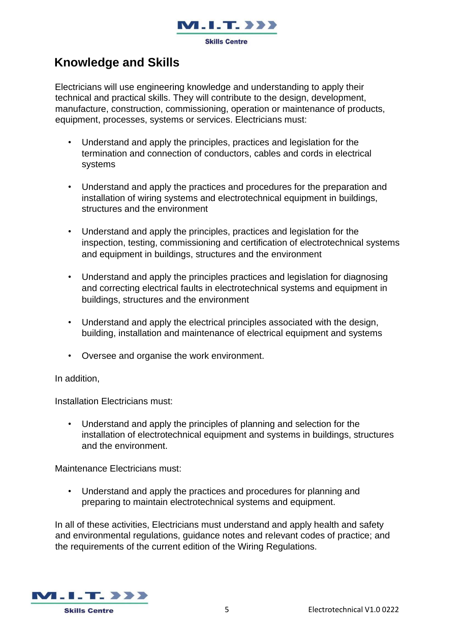

## **Knowledge and Skills**

Electricians will use engineering knowledge and understanding to apply their technical and practical skills. They will contribute to the design, development, manufacture, construction, commissioning, operation or maintenance of products, equipment, processes, systems or services. Electricians must:

- Understand and apply the principles, practices and legislation for the termination and connection of conductors, cables and cords in electrical systems
- Understand and apply the practices and procedures for the preparation and installation of wiring systems and electrotechnical equipment in buildings, structures and the environment
- Understand and apply the principles, practices and legislation for the inspection, testing, commissioning and certification of electrotechnical systems and equipment in buildings, structures and the environment
- Understand and apply the principles practices and legislation for diagnosing and correcting electrical faults in electrotechnical systems and equipment in buildings, structures and the environment
- Understand and apply the electrical principles associated with the design, building, installation and maintenance of electrical equipment and systems
- Oversee and organise the work environment.

In addition,

Installation Electricians must:

• Understand and apply the principles of planning and selection for the installation of electrotechnical equipment and systems in buildings, structures and the environment.

Maintenance Electricians must:

• Understand and apply the practices and procedures for planning and preparing to maintain electrotechnical systems and equipment.

In all of these activities, Electricians must understand and apply health and safety and environmental regulations, guidance notes and relevant codes of practice; and the requirements of the current edition of the Wiring Regulations.

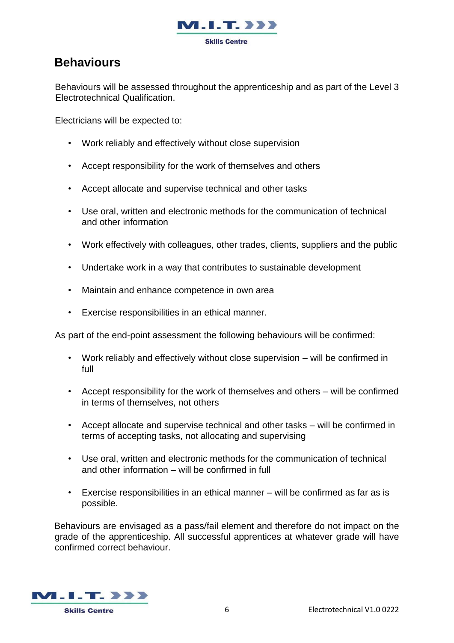

## **Behaviours**

Behaviours will be assessed throughout the apprenticeship and as part of the Level 3 Electrotechnical Qualification.

Electricians will be expected to:

- Work reliably and effectively without close supervision
- Accept responsibility for the work of themselves and others
- Accept allocate and supervise technical and other tasks
- Use oral, written and electronic methods for the communication of technical and other information
- Work effectively with colleagues, other trades, clients, suppliers and the public
- Undertake work in a way that contributes to sustainable development
- Maintain and enhance competence in own area
- Exercise responsibilities in an ethical manner.

As part of the end-point assessment the following behaviours will be confirmed:

- Work reliably and effectively without close supervision will be confirmed in full
- Accept responsibility for the work of themselves and others will be confirmed in terms of themselves, not others
- Accept allocate and supervise technical and other tasks will be confirmed in terms of accepting tasks, not allocating and supervising
- Use oral, written and electronic methods for the communication of technical and other information – will be confirmed in full
- Exercise responsibilities in an ethical manner will be confirmed as far as is possible.

Behaviours are envisaged as a pass/fail element and therefore do not impact on the grade of the apprenticeship. All successful apprentices at whatever grade will have confirmed correct behaviour.

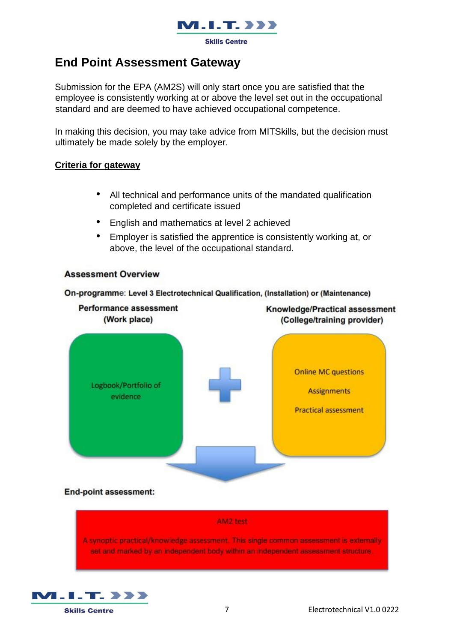

## **End Point Assessment Gateway**

Submission for the EPA (AM2S) will only start once you are satisfied that the employee is consistently working at or above the level set out in the occupational standard and are deemed to have achieved occupational competence.

In making this decision, you may take advice from MITSkills, but the decision must ultimately be made solely by the employer.

#### **Criteria for gateway**

- All technical and performance units of the mandated qualification completed and certificate issued
- English and mathematics at level 2 achieved
- Employer is satisfied the apprentice is consistently working at, or above, the level of the occupational standard.

#### **Assessment Overview**

On-programme: Level 3 Electrotechnical Qualification, (Installation) or (Maintenance)



#### End-point assessment:



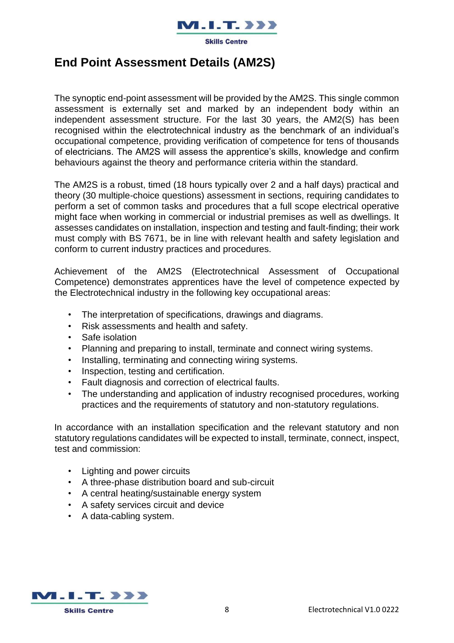# 7.I.T. >>>

**Skills Centre** 

## **End Point Assessment Details (AM2S)**

The synoptic end-point assessment will be provided by the AM2S. This single common assessment is externally set and marked by an independent body within an independent assessment structure. For the last 30 years, the AM2(S) has been recognised within the electrotechnical industry as the benchmark of an individual's occupational competence, providing verification of competence for tens of thousands of electricians. The AM2S will assess the apprentice's skills, knowledge and confirm behaviours against the theory and performance criteria within the standard.

The AM2S is a robust, timed (18 hours typically over 2 and a half days) practical and theory (30 multiple-choice questions) assessment in sections, requiring candidates to perform a set of common tasks and procedures that a full scope electrical operative might face when working in commercial or industrial premises as well as dwellings. It assesses candidates on installation, inspection and testing and fault-finding; their work must comply with BS 7671, be in line with relevant health and safety legislation and conform to current industry practices and procedures.

Achievement of the AM2S (Electrotechnical Assessment of Occupational Competence) demonstrates apprentices have the level of competence expected by the Electrotechnical industry in the following key occupational areas:

- The interpretation of specifications, drawings and diagrams.
- Risk assessments and health and safety.
- Safe isolation
- Planning and preparing to install, terminate and connect wiring systems.
- Installing, terminating and connecting wiring systems.
- Inspection, testing and certification.
- Fault diagnosis and correction of electrical faults.
- The understanding and application of industry recognised procedures, working practices and the requirements of statutory and non-statutory regulations.

In accordance with an installation specification and the relevant statutory and non statutory regulations candidates will be expected to install, terminate, connect, inspect, test and commission:

- Lighting and power circuits
- A three-phase distribution board and sub-circuit
- A central heating/sustainable energy system
- A safety services circuit and device
- A data-cabling system.

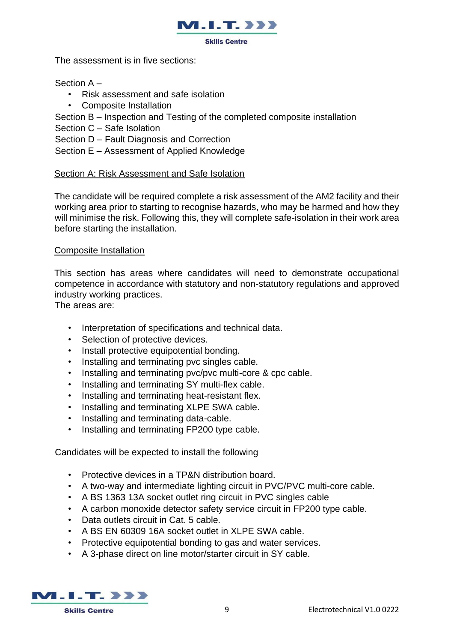

The assessment is in five sections:

Section A –

- Risk assessment and safe isolation
- Composite Installation
- Section B Inspection and Testing of the completed composite installation
- Section C Safe Isolation

Section D – Fault Diagnosis and Correction

Section E – Assessment of Applied Knowledge

## Section A: Risk Assessment and Safe Isolation

The candidate will be required complete a risk assessment of the AM2 facility and their working area prior to starting to recognise hazards, who may be harmed and how they will minimise the risk. Following this, they will complete safe-isolation in their work area before starting the installation.

## Composite Installation

This section has areas where candidates will need to demonstrate occupational competence in accordance with statutory and non-statutory regulations and approved industry working practices.

The areas are:

- Interpretation of specifications and technical data.
- Selection of protective devices.
- Install protective equipotential bonding.
- Installing and terminating pvc singles cable.
- Installing and terminating pvc/pvc multi-core & cpc cable.
- Installing and terminating SY multi-flex cable.
- Installing and terminating heat-resistant flex.
- Installing and terminating XLPE SWA cable.
- Installing and terminating data-cable.
- Installing and terminating FP200 type cable.

Candidates will be expected to install the following

- Protective devices in a TP&N distribution board.
- A two-way and intermediate lighting circuit in PVC/PVC multi-core cable.
- A BS 1363 13A socket outlet ring circuit in PVC singles cable
- A carbon monoxide detector safety service circuit in FP200 type cable.
- Data outlets circuit in Cat. 5 cable.
- A BS EN 60309 16A socket outlet in XLPE SWA cable.
- Protective equipotential bonding to gas and water services.
- A 3-phase direct on line motor/starter circuit in SY cable.

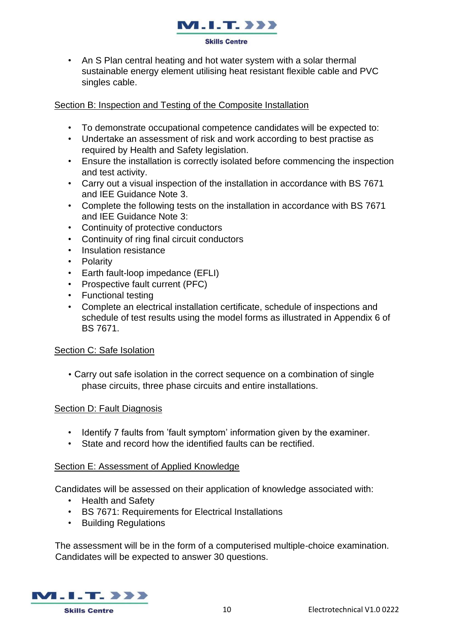

• An S Plan central heating and hot water system with a solar thermal sustainable energy element utilising heat resistant flexible cable and PVC singles cable.

## Section B: Inspection and Testing of the Composite Installation

- To demonstrate occupational competence candidates will be expected to:
- Undertake an assessment of risk and work according to best practise as required by Health and Safety legislation.
- Ensure the installation is correctly isolated before commencing the inspection and test activity.
- Carry out a visual inspection of the installation in accordance with BS 7671 and IEE Guidance Note 3.
- Complete the following tests on the installation in accordance with BS 7671 and IEE Guidance Note 3:
- Continuity of protective conductors
- Continuity of ring final circuit conductors
- Insulation resistance
- Polarity
- Earth fault-loop impedance (EFLI)
- Prospective fault current (PFC)
- Functional testing
- Complete an electrical installation certificate, schedule of inspections and schedule of test results using the model forms as illustrated in Appendix 6 of BS 7671.

### Section C: Safe Isolation

• Carry out safe isolation in the correct sequence on a combination of single phase circuits, three phase circuits and entire installations.

### Section D: Fault Diagnosis

- Identify 7 faults from 'fault symptom' information given by the examiner.
- State and record how the identified faults can be rectified.

### Section E: Assessment of Applied Knowledge

Candidates will be assessed on their application of knowledge associated with:

- Health and Safety
- BS 7671: Requirements for Electrical Installations
- Building Regulations

The assessment will be in the form of a computerised multiple-choice examination. Candidates will be expected to answer 30 questions.

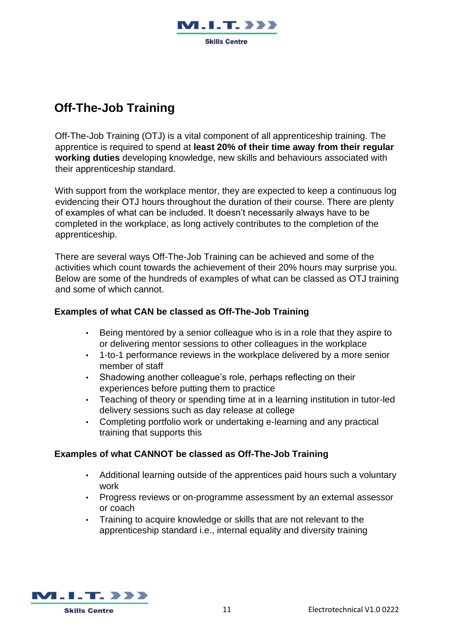

# **Off-The-Job Training**

Off-The-Job Training (OTJ) is a vital component of all apprenticeship training. The apprentice is required to spend at **least 20% of their time away from their regular working duties** developing knowledge, new skills and behaviours associated with their apprenticeship standard.

With support from the workplace mentor, they are expected to keep a continuous log evidencing their OTJ hours throughout the duration of their course. There are plenty of examples of what can be included. It doesn't necessarily always have to be completed in the workplace, as long actively contributes to the completion of the apprenticeship.

There are several ways Off-The-Job Training can be achieved and some of the activities which count towards the achievement of their 20% hours may surprise you. Below are some of the hundreds of examples of what can be classed as OTJ training and some of which cannot.

### **Examples of what CAN be classed as Off-The-Job Training**

- Being mentored by a senior colleague who is in a role that they aspire to or delivering mentor sessions to other colleagues in the workplace
- 1-to-1 performance reviews in the workplace delivered by a more senior member of staff
- Shadowing another colleague's role, perhaps reflecting on their experiences before putting them to practice
- Teaching of theory or spending time at in a learning institution in tutor-led delivery sessions such as day release at college
- Completing portfolio work or undertaking e-learning and any practical training that supports this

## **Examples of what CANNOT be classed as Off-The-Job Training**

- Additional learning outside of the apprentices paid hours such a voluntary work
- Progress reviews or on-programme assessment by an external assessor or coach
- Training to acquire knowledge or skills that are not relevant to the apprenticeship standard i.e., internal equality and diversity training

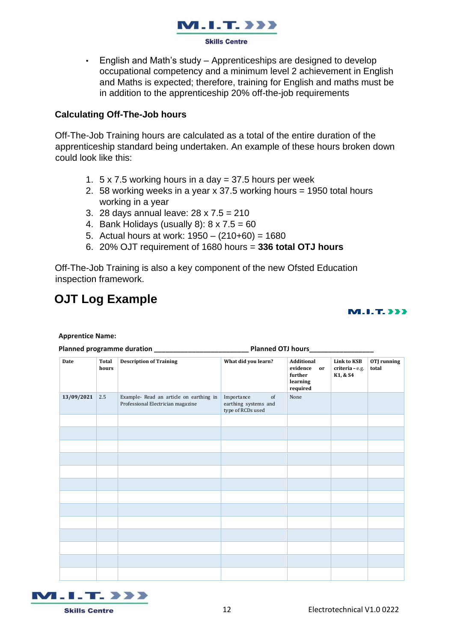

• English and Math's study – Apprenticeships are designed to develop occupational competency and a minimum level 2 achievement in English and Maths is expected; therefore, training for English and maths must be in addition to the apprenticeship 20% off-the-job requirements

### **Calculating Off-The-Job hours**

Off-The-Job Training hours are calculated as a total of the entire duration of the apprenticeship standard being undertaken. An example of these hours broken down could look like this:

- 1.  $5 \times 7.5$  working hours in a day = 37.5 hours per week
- 2. 58 working weeks in a year x 37.5 working hours = 1950 total hours working in a year
- 3. 28 days annual leave: 28 x 7.5 = 210
- 4. Bank Holidays (usually 8):  $8 \times 7.5 = 60$
- 5. Actual hours at work: 1950 (210+60) = 1680
- 6. 20% OJT requirement of 1680 hours = **336 total OTJ hours**

Off-The-Job Training is also a key component of the ne[w](https://www.gov.uk/government/publications/education-inspection-framework) [Ofsted Education](https://www.gov.uk/government/publications/education-inspection-framework)  [inspection framework.](https://www.gov.uk/government/publications/education-inspection-framework) 

# **OJT Log Example**

#### M.I.T. >>>

#### **Apprentice Name:**

Planned programme duration **by the contract of the Planned OTJ hours** 

| Date       | Total<br>hours | <b>Description of Training</b>                                               | What did you learn?                                           | <b>Additional</b><br>evidence or<br>further<br>learning<br>$\bf required$ | <b>Link to KSB</b><br>criteria - e.g.<br>K1, & S4 | OTJ running<br>total |
|------------|----------------|------------------------------------------------------------------------------|---------------------------------------------------------------|---------------------------------------------------------------------------|---------------------------------------------------|----------------------|
| 13/09/2021 | 2.5            | Example- Read an article on earthing in<br>Professional Electrician magazine | Importance<br>of<br>earthing systems and<br>type of RCDs used | None                                                                      |                                                   |                      |
|            |                |                                                                              |                                                               |                                                                           |                                                   |                      |
|            |                |                                                                              |                                                               |                                                                           |                                                   |                      |
|            |                |                                                                              |                                                               |                                                                           |                                                   |                      |
|            |                |                                                                              |                                                               |                                                                           |                                                   |                      |
|            |                |                                                                              |                                                               |                                                                           |                                                   |                      |
|            |                |                                                                              |                                                               |                                                                           |                                                   |                      |
|            |                |                                                                              |                                                               |                                                                           |                                                   |                      |
|            |                |                                                                              |                                                               |                                                                           |                                                   |                      |
|            |                |                                                                              |                                                               |                                                                           |                                                   |                      |
|            |                |                                                                              |                                                               |                                                                           |                                                   |                      |
|            |                |                                                                              |                                                               |                                                                           |                                                   |                      |
|            |                |                                                                              |                                                               |                                                                           |                                                   |                      |
|            |                |                                                                              |                                                               |                                                                           |                                                   |                      |